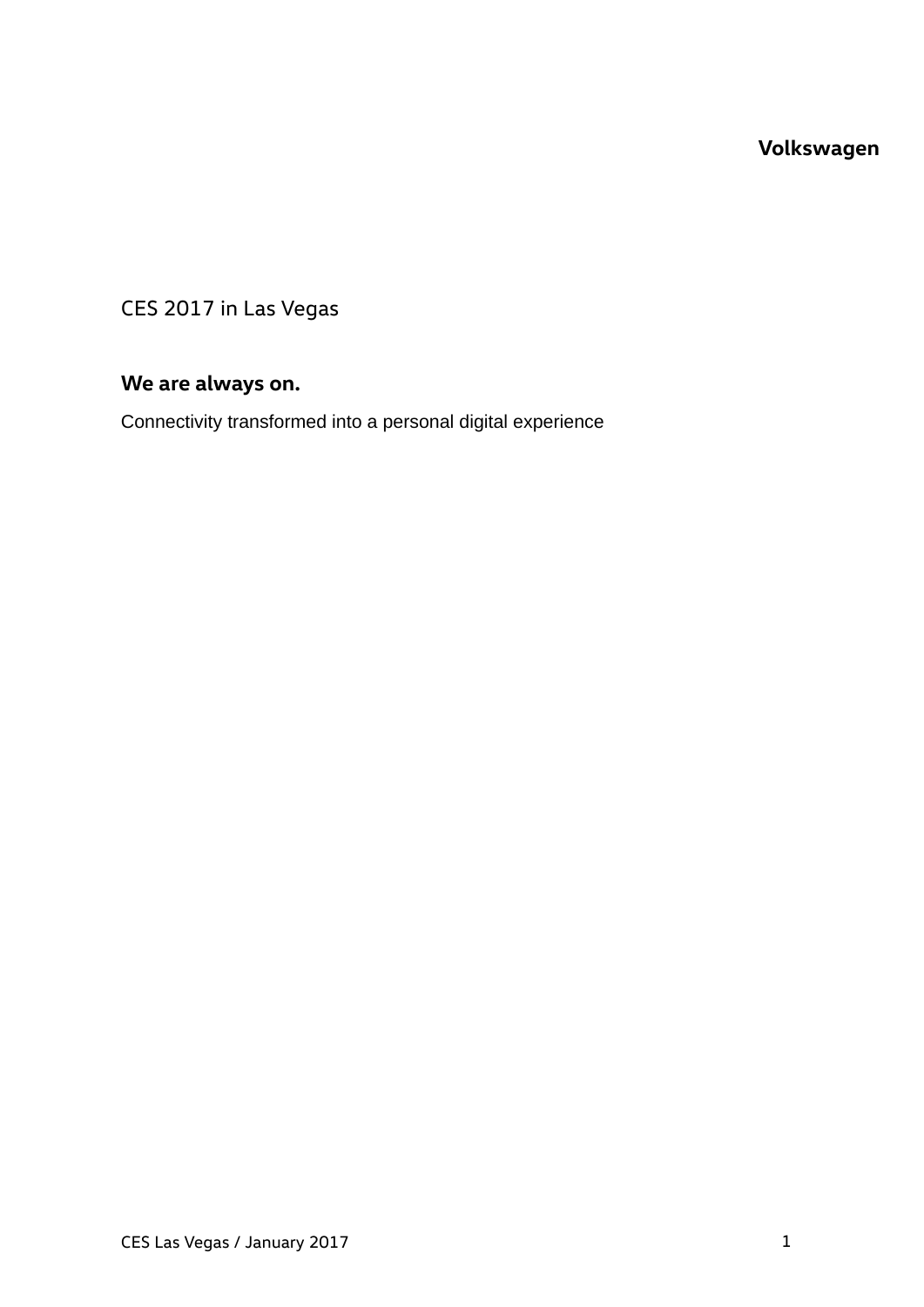# **Volkswagen**

CES 2017 in Las Vegas

# **We are always on.**

Connectivity transformed into a personal digital experience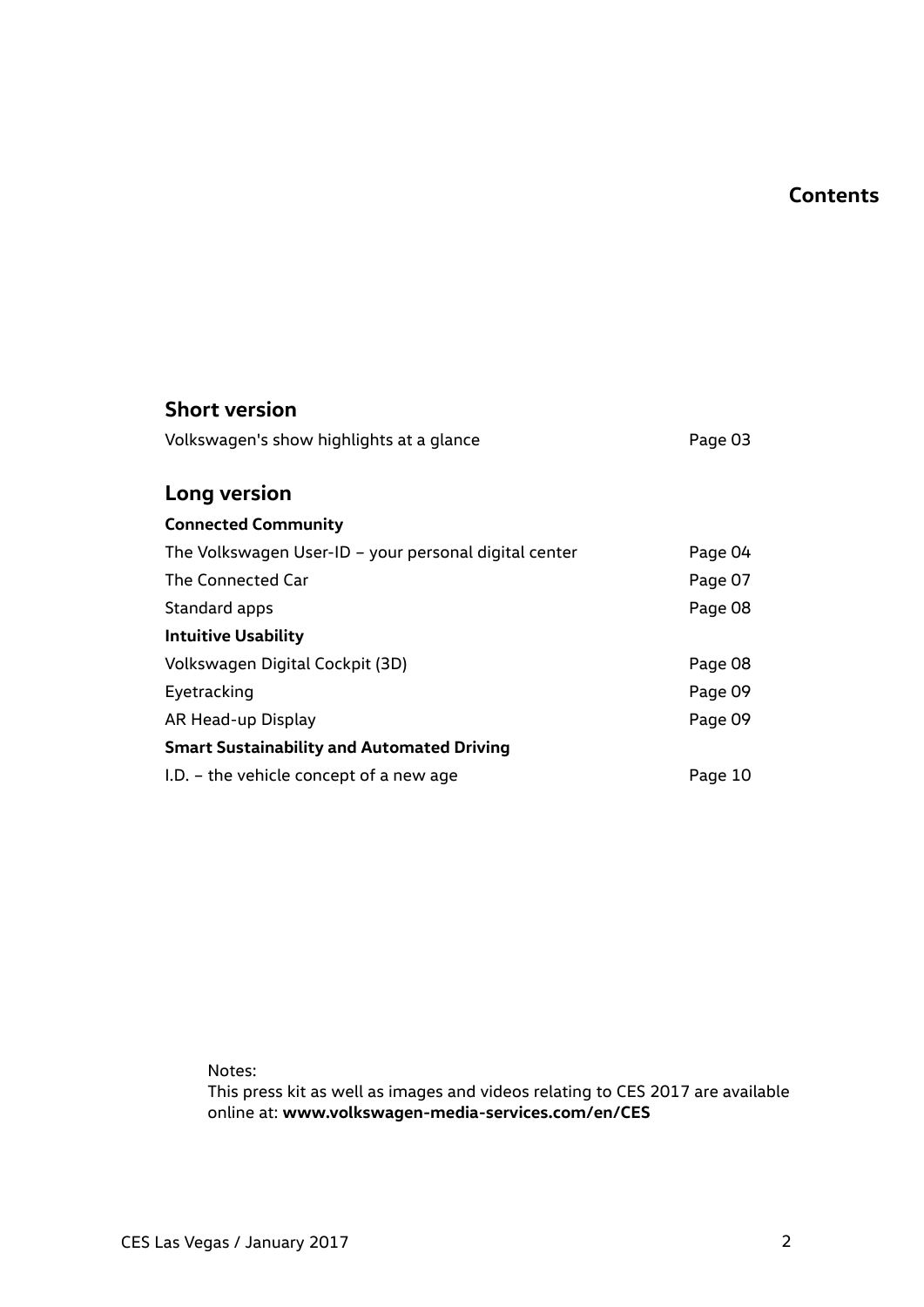# **Contents**

| <b>Short version</b>                                  |         |
|-------------------------------------------------------|---------|
| Volkswagen's show highlights at a glance              | Page 03 |
| Long version                                          |         |
| <b>Connected Community</b>                            |         |
| The Volkswagen User-ID - your personal digital center | Page 04 |
| The Connected Car                                     | Page 07 |
| Standard apps                                         | Page 08 |
| <b>Intuitive Usability</b>                            |         |
| Volkswagen Digital Cockpit (3D)                       | Page 08 |
| Eyetracking                                           | Page 09 |
| AR Head-up Display                                    | Page 09 |
| <b>Smart Sustainability and Automated Driving</b>     |         |
| $I.D. -$ the vehicle concept of a new age             | Page 10 |

Notes:

This press kit as well as images and videos relating to CES 2017 are available online at: **www.volkswagen-media-services.com/en/CES**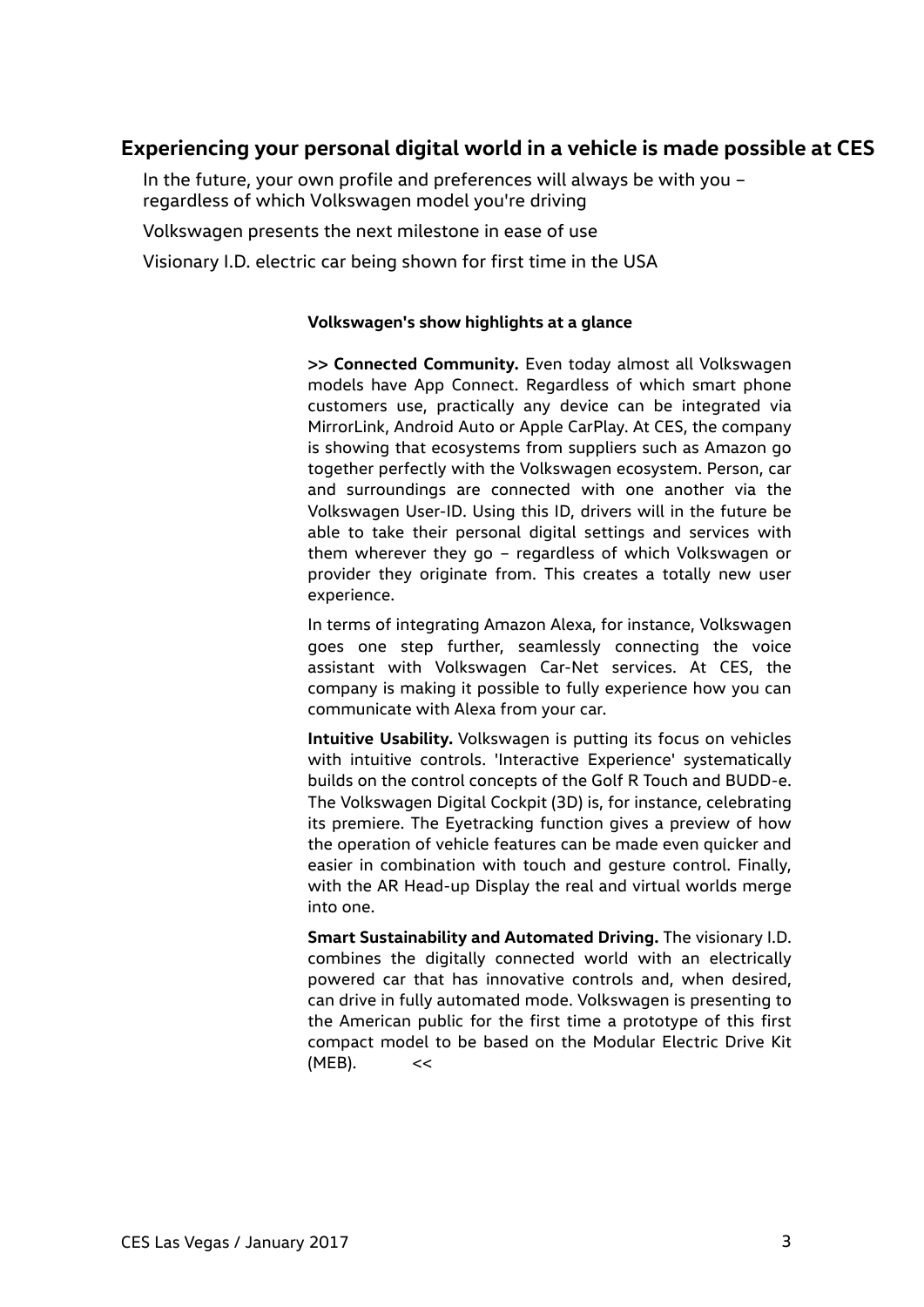# **Experiencing your personal digital world in a vehicle is made possible at CES**

In the future, your own profile and preferences will always be with you – regardless of which Volkswagen model you're driving

Volkswagen presents the next milestone in ease of use

Visionary I.D. electric car being shown for first time in the USA

#### **Volkswagen's show highlights at a glance**

**>> Connected Community.** Even today almost all Volkswagen models have App Connect. Regardless of which smart phone customers use, practically any device can be integrated via MirrorLink, Android Auto or Apple CarPlay. At CES, the company is showing that ecosystems from suppliers such as Amazon go together perfectly with the Volkswagen ecosystem. Person, car and surroundings are connected with one another via the Volkswagen User-ID. Using this ID, drivers will in the future be able to take their personal digital settings and services with them wherever they go – regardless of which Volkswagen or provider they originate from. This creates a totally new user experience.

In terms of integrating Amazon Alexa, for instance, Volkswagen goes one step further, seamlessly connecting the voice assistant with Volkswagen Car-Net services. At CES, the company is making it possible to fully experience how you can communicate with Alexa from your car.

**Intuitive Usability.** Volkswagen is putting its focus on vehicles with intuitive controls. 'Interactive Experience' systematically builds on the control concepts of the Golf R Touch and BUDD-e. The Volkswagen Digital Cockpit (3D) is, for instance, celebrating its premiere. The Eyetracking function gives a preview of how the operation of vehicle features can be made even quicker and easier in combination with touch and gesture control. Finally, with the AR Head-up Display the real and virtual worlds merge into one.

**Smart Sustainability and Automated Driving.** The visionary I.D. combines the digitally connected world with an electrically powered car that has innovative controls and, when desired, can drive in fully automated mode. Volkswagen is presenting to the American public for the first time a prototype of this first compact model to be based on the Modular Electric Drive Kit  $(MEB)$ . <<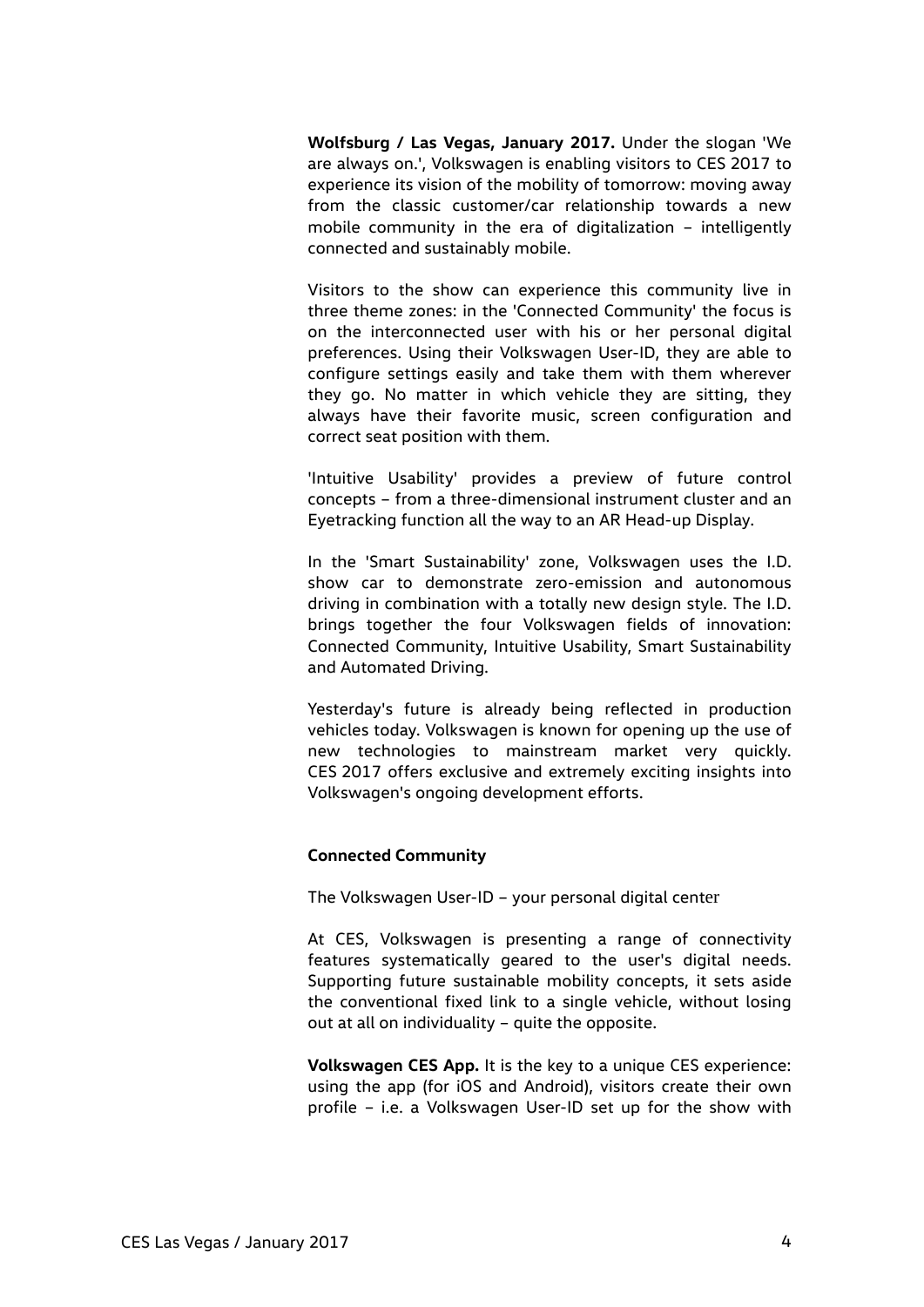**Wolfsburg / Las Vegas, January 2017.** Under the slogan 'We are always on.', Volkswagen is enabling visitors to CES 2017 to experience its vision of the mobility of tomorrow: moving away from the classic customer/car relationship towards a new mobile community in the era of digitalization – intelligently connected and sustainably mobile.

Visitors to the show can experience this community live in three theme zones: in the 'Connected Community' the focus is on the interconnected user with his or her personal digital preferences. Using their Volkswagen User-ID, they are able to configure settings easily and take them with them wherever they go. No matter in which vehicle they are sitting, they always have their favorite music, screen configuration and correct seat position with them.

'Intuitive Usability' provides a preview of future control concepts – from a three-dimensional instrument cluster and an Eyetracking function all the way to an AR Head-up Display.

In the 'Smart Sustainability' zone, Volkswagen uses the I.D. show car to demonstrate zero-emission and autonomous driving in combination with a totally new design style. The I.D. brings together the four Volkswagen fields of innovation: Connected Community, Intuitive Usability, Smart Sustainability and Automated Driving.

Yesterday's future is already being reflected in production vehicles today. Volkswagen is known for opening up the use of new technologies to mainstream market very quickly. CES 2017 offers exclusive and extremely exciting insights into Volkswagen's ongoing development efforts.

## **Connected Community**

The Volkswagen User-ID – your personal digital center

At CES, Volkswagen is presenting a range of connectivity features systematically geared to the user's digital needs. Supporting future sustainable mobility concepts, it sets aside the conventional fixed link to a single vehicle, without losing out at all on individuality – quite the opposite.

**Volkswagen CES App.** It is the key to a unique CES experience: using the app (for iOS and Android), visitors create their own profile – i.e. a Volkswagen User-ID set up for the show with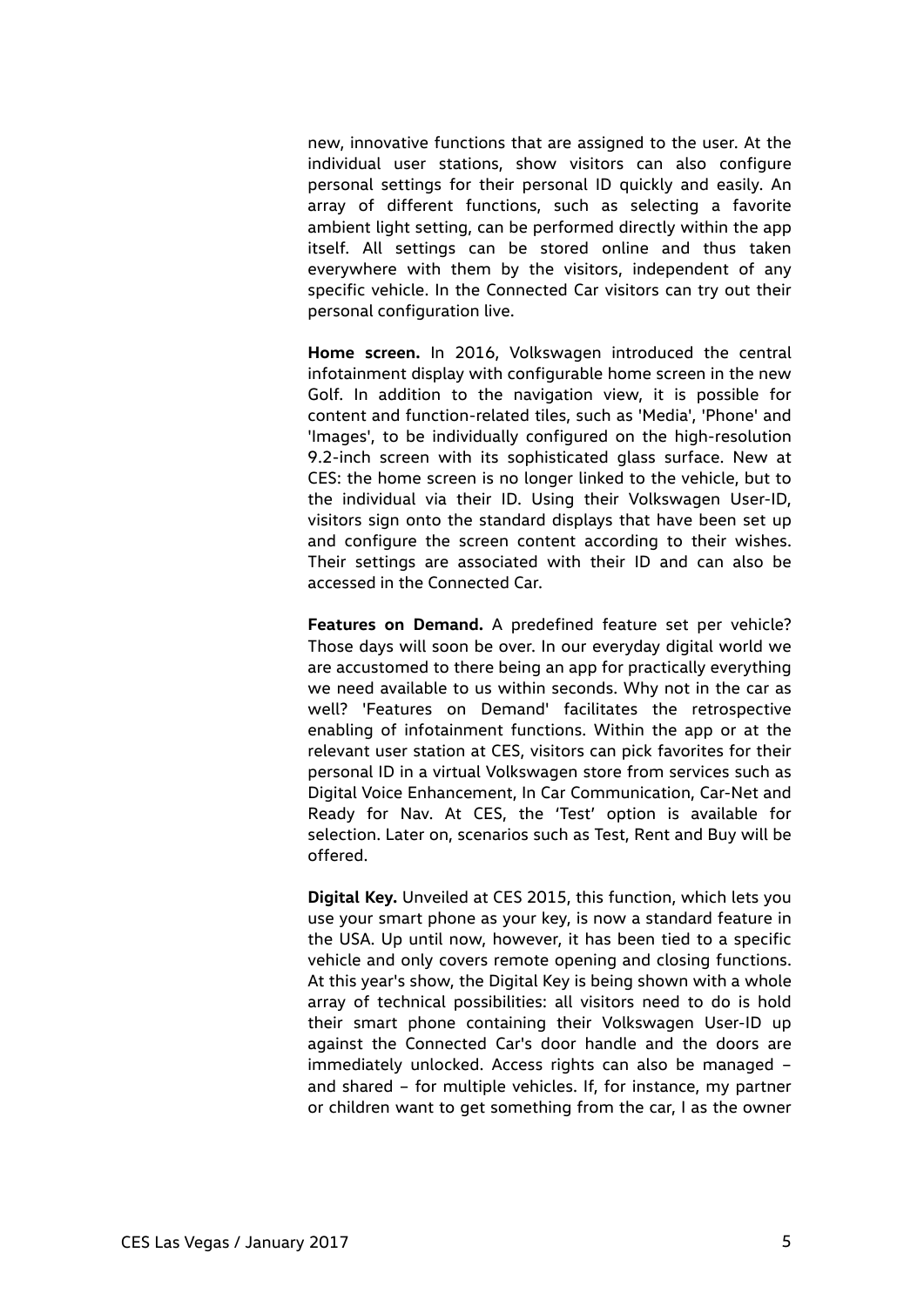new, innovative functions that are assigned to the user. At the individual user stations, show visitors can also configure personal settings for their personal ID quickly and easily. An array of different functions, such as selecting a favorite ambient light setting, can be performed directly within the app itself. All settings can be stored online and thus taken everywhere with them by the visitors, independent of any specific vehicle. In the Connected Car visitors can try out their personal configuration live.

**Home screen.** In 2016, Volkswagen introduced the central infotainment display with configurable home screen in the new Golf. In addition to the navigation view, it is possible for content and function-related tiles, such as 'Media', 'Phone' and 'Images', to be individually configured on the high-resolution 9.2-inch screen with its sophisticated glass surface. New at CES: the home screen is no longer linked to the vehicle, but to the individual via their ID. Using their Volkswagen User-ID, visitors sign onto the standard displays that have been set up and configure the screen content according to their wishes. Their settings are associated with their ID and can also be accessed in the Connected Car.

**Features on Demand.** A predefined feature set per vehicle? Those days will soon be over. In our everyday digital world we are accustomed to there being an app for practically everything we need available to us within seconds. Why not in the car as well? 'Features on Demand' facilitates the retrospective enabling of infotainment functions. Within the app or at the relevant user station at CES, visitors can pick favorites for their personal ID in a virtual Volkswagen store from services such as Digital Voice Enhancement, In Car Communication, Car-Net and Ready for Nav. At CES, the 'Test' option is available for selection. Later on, scenarios such as Test, Rent and Buy will be offered.

**Digital Key.** Unveiled at CES 2015, this function, which lets you use your smart phone as your key, is now a standard feature in the USA. Up until now, however, it has been tied to a specific vehicle and only covers remote opening and closing functions. At this year's show, the Digital Key is being shown with a whole array of technical possibilities: all visitors need to do is hold their smart phone containing their Volkswagen User-ID up against the Connected Car's door handle and the doors are immediately unlocked. Access rights can also be managed – and shared – for multiple vehicles. If, for instance, my partner or children want to get something from the car, I as the owner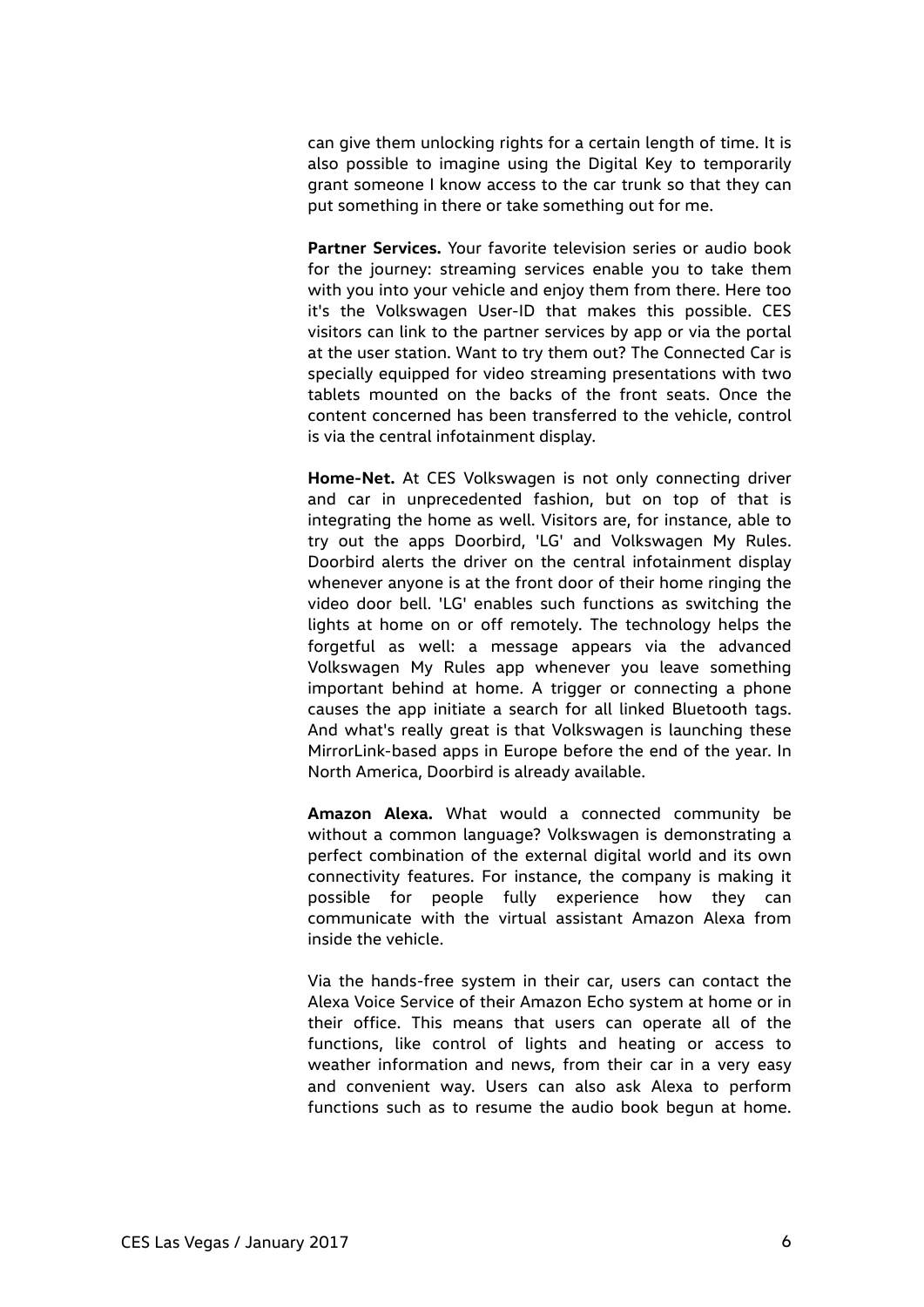can give them unlocking rights for a certain length of time. It is also possible to imagine using the Digital Key to temporarily grant someone I know access to the car trunk so that they can put something in there or take something out for me.

**Partner Services.** Your favorite television series or audio book for the journey: streaming services enable you to take them with you into your vehicle and enjoy them from there. Here too it's the Volkswagen User-ID that makes this possible. CES visitors can link to the partner services by app or via the portal at the user station. Want to try them out? The Connected Car is specially equipped for video streaming presentations with two tablets mounted on the backs of the front seats. Once the content concerned has been transferred to the vehicle, control is via the central infotainment display.

**Home-Net.** At CES Volkswagen is not only connecting driver and car in unprecedented fashion, but on top of that is integrating the home as well. Visitors are, for instance, able to try out the apps Doorbird, 'LG' and Volkswagen My Rules. Doorbird alerts the driver on the central infotainment display whenever anyone is at the front door of their home ringing the video door bell. 'LG' enables such functions as switching the lights at home on or off remotely. The technology helps the forgetful as well: a message appears via the advanced Volkswagen My Rules app whenever you leave something important behind at home. A trigger or connecting a phone causes the app initiate a search for all linked Bluetooth tags. And what's really great is that Volkswagen is launching these MirrorLink-based apps in Europe before the end of the year. In North America, Doorbird is already available.

**Amazon Alexa.** What would a connected community be without a common language? Volkswagen is demonstrating a perfect combination of the external digital world and its own connectivity features. For instance, the company is making it possible for people fully experience how they can communicate with the virtual assistant Amazon Alexa from inside the vehicle.

Via the hands-free system in their car, users can contact the Alexa Voice Service of their Amazon Echo system at home or in their office. This means that users can operate all of the functions, like control of lights and heating or access to weather information and news, from their car in a very easy and convenient way. Users can also ask Alexa to perform functions such as to resume the audio book begun at home.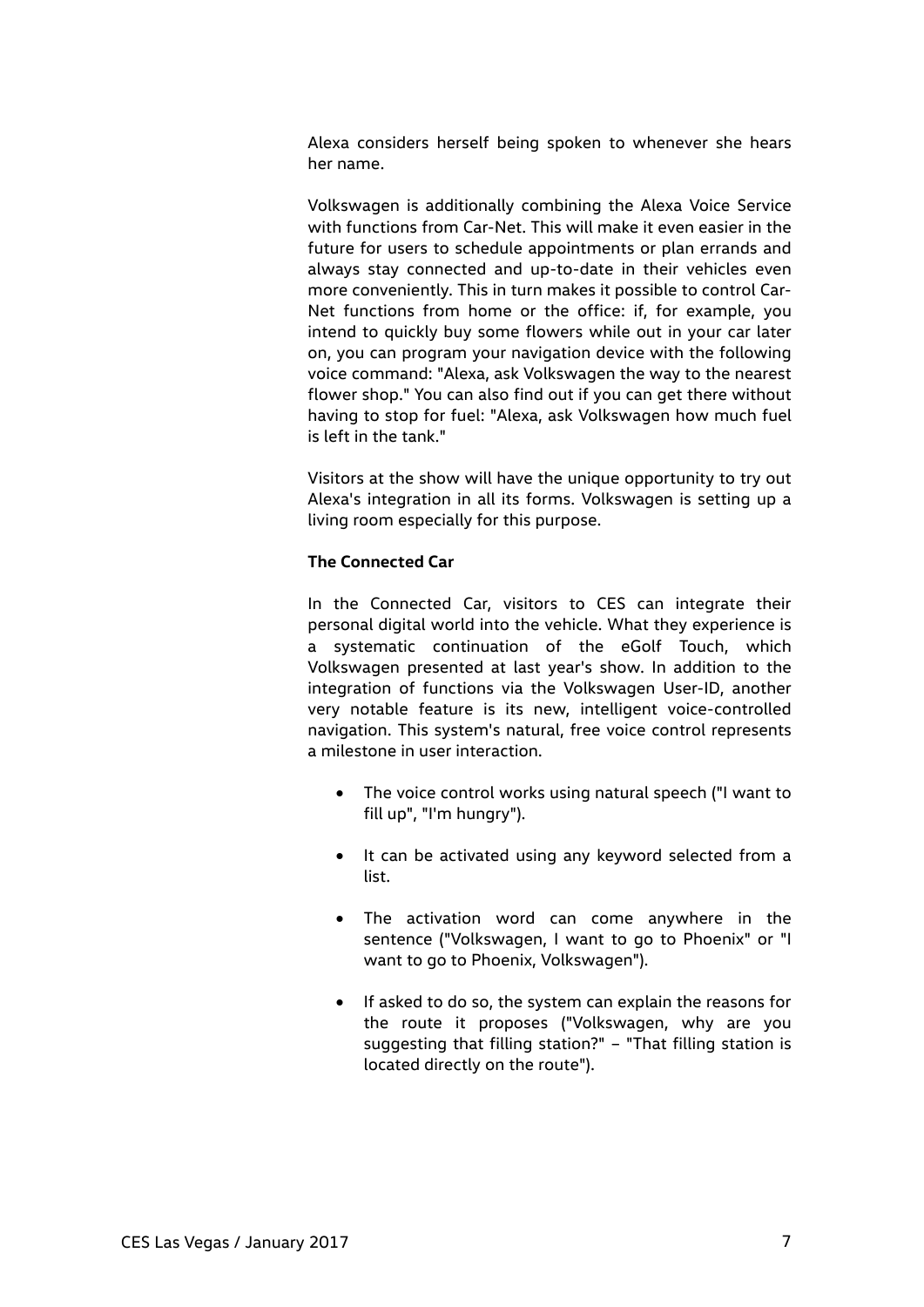Alexa considers herself being spoken to whenever she hears her name.

Volkswagen is additionally combining the Alexa Voice Service with functions from Car-Net. This will make it even easier in the future for users to schedule appointments or plan errands and always stay connected and up-to-date in their vehicles even more conveniently. This in turn makes it possible to control Car-Net functions from home or the office: if, for example, you intend to quickly buy some flowers while out in your car later on, you can program your navigation device with the following voice command: "Alexa, ask Volkswagen the way to the nearest flower shop." You can also find out if you can get there without having to stop for fuel: "Alexa, ask Volkswagen how much fuel is left in the tank."

Visitors at the show will have the unique opportunity to try out Alexa's integration in all its forms. Volkswagen is setting up a living room especially for this purpose.

## **The Connected Car**

In the Connected Car, visitors to CES can integrate their personal digital world into the vehicle. What they experience is a systematic continuation of the eGolf Touch, which Volkswagen presented at last year's show. In addition to the integration of functions via the Volkswagen User-ID, another very notable feature is its new, intelligent voice-controlled navigation. This system's natural, free voice control represents a milestone in user interaction.

- The voice control works using natural speech ("I want to fill up", "I'm hungry").
- It can be activated using any keyword selected from a list.
- The activation word can come anywhere in the sentence ("Volkswagen, I want to go to Phoenix" or "I want to go to Phoenix, Volkswagen").
- If asked to do so, the system can explain the reasons for the route it proposes ("Volkswagen, why are you suggesting that filling station?" – "That filling station is located directly on the route").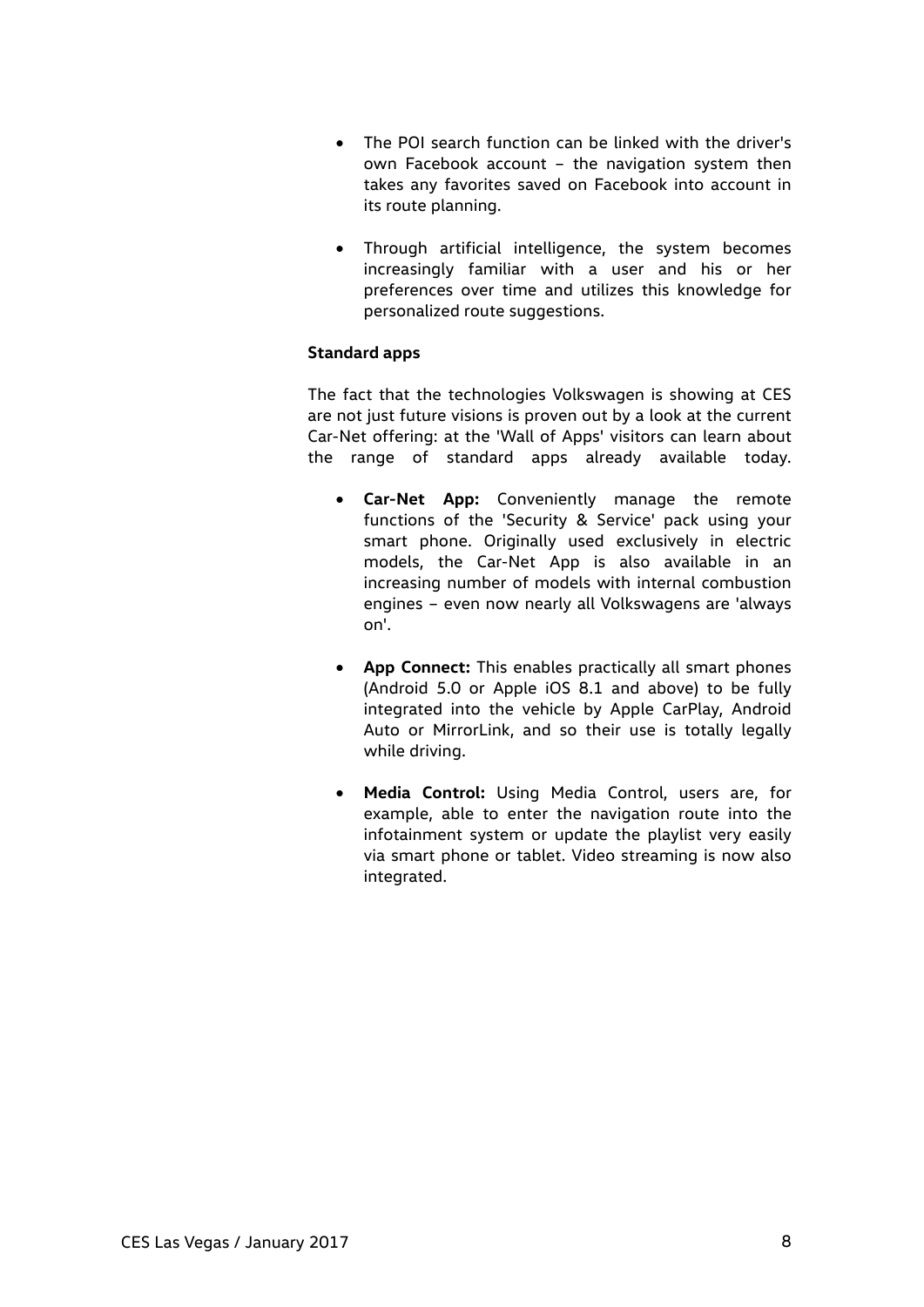- The POI search function can be linked with the driver's own Facebook account – the navigation system then takes any favorites saved on Facebook into account in its route planning.
- Through artificial intelligence, the system becomes increasingly familiar with a user and his or her preferences over time and utilizes this knowledge for personalized route suggestions.

## **Standard apps**

The fact that the technologies Volkswagen is showing at CES are not just future visions is proven out by a look at the current Car-Net offering: at the 'Wall of Apps' visitors can learn about the range of standard apps already available today.

- **Car-Net App:** Conveniently manage the remote functions of the 'Security & Service' pack using your smart phone. Originally used exclusively in electric models, the Car-Net App is also available in an increasing number of models with internal combustion engines – even now nearly all Volkswagens are 'always on'.
- **App Connect:** This enables practically all smart phones (Android 5.0 or Apple iOS 8.1 and above) to be fully integrated into the vehicle by Apple CarPlay, Android Auto or MirrorLink, and so their use is totally legally while driving.
- **Media Control:** Using Media Control, users are, for example, able to enter the navigation route into the infotainment system or update the playlist very easily via smart phone or tablet. Video streaming is now also integrated.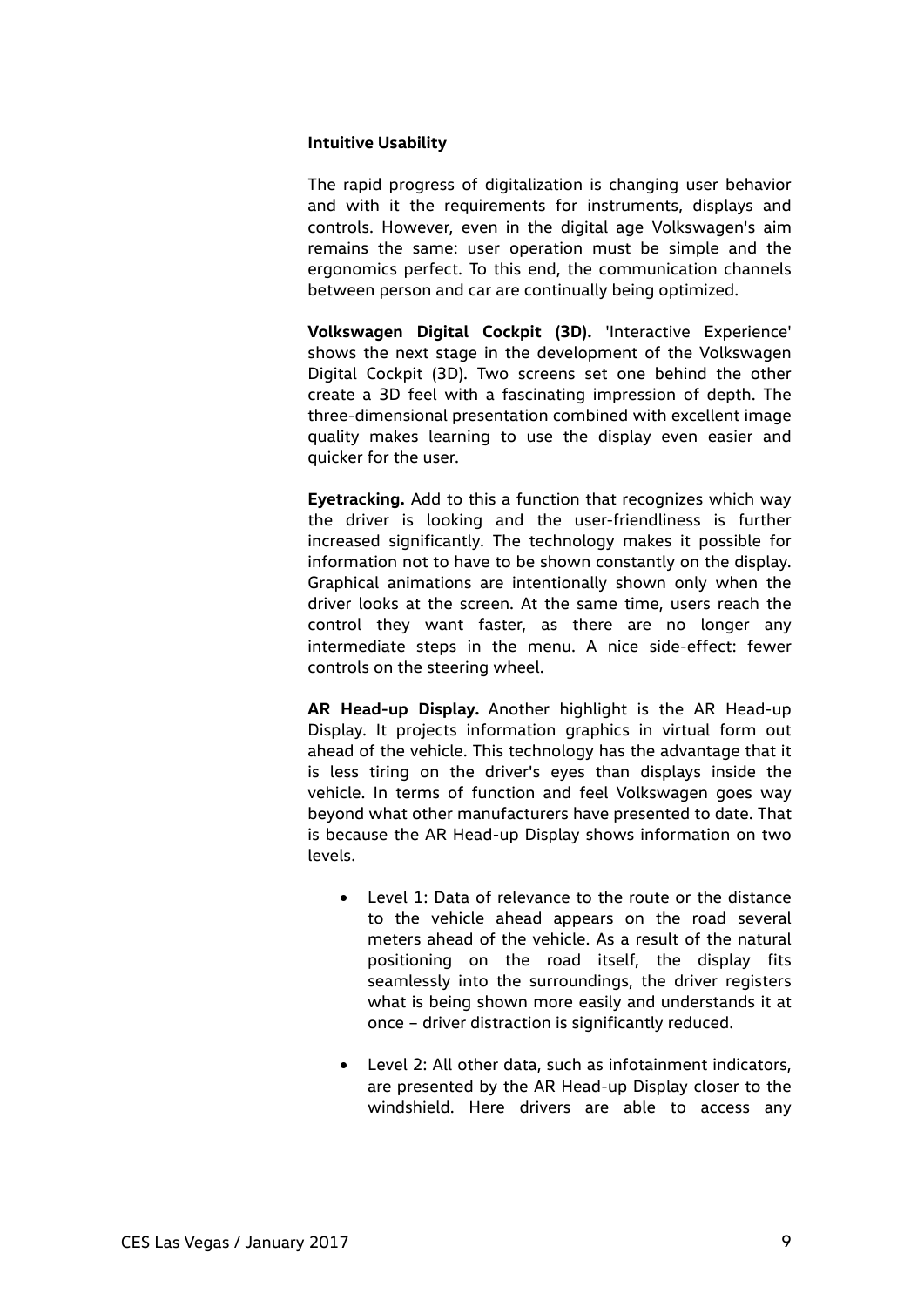#### **Intuitive Usability**

The rapid progress of digitalization is changing user behavior and with it the requirements for instruments, displays and controls. However, even in the digital age Volkswagen's aim remains the same: user operation must be simple and the ergonomics perfect. To this end, the communication channels between person and car are continually being optimized.

**Volkswagen Digital Cockpit (3D).** 'Interactive Experience' shows the next stage in the development of the Volkswagen Digital Cockpit (3D). Two screens set one behind the other create a 3D feel with a fascinating impression of depth. The three-dimensional presentation combined with excellent image quality makes learning to use the display even easier and quicker for the user.

**Eyetracking.** Add to this a function that recognizes which way the driver is looking and the user-friendliness is further increased significantly. The technology makes it possible for information not to have to be shown constantly on the display. Graphical animations are intentionally shown only when the driver looks at the screen. At the same time, users reach the control they want faster, as there are no longer any intermediate steps in the menu. A nice side-effect: fewer controls on the steering wheel.

**AR Head-up Display.** Another highlight is the AR Head-up Display. It projects information graphics in virtual form out ahead of the vehicle. This technology has the advantage that it is less tiring on the driver's eyes than displays inside the vehicle. In terms of function and feel Volkswagen goes way beyond what other manufacturers have presented to date. That is because the AR Head-up Display shows information on two levels.

- Level 1: Data of relevance to the route or the distance to the vehicle ahead appears on the road several meters ahead of the vehicle. As a result of the natural positioning on the road itself, the display fits seamlessly into the surroundings, the driver registers what is being shown more easily and understands it at once – driver distraction is significantly reduced.
- Level 2: All other data, such as infotainment indicators, are presented by the AR Head-up Display closer to the windshield. Here drivers are able to access any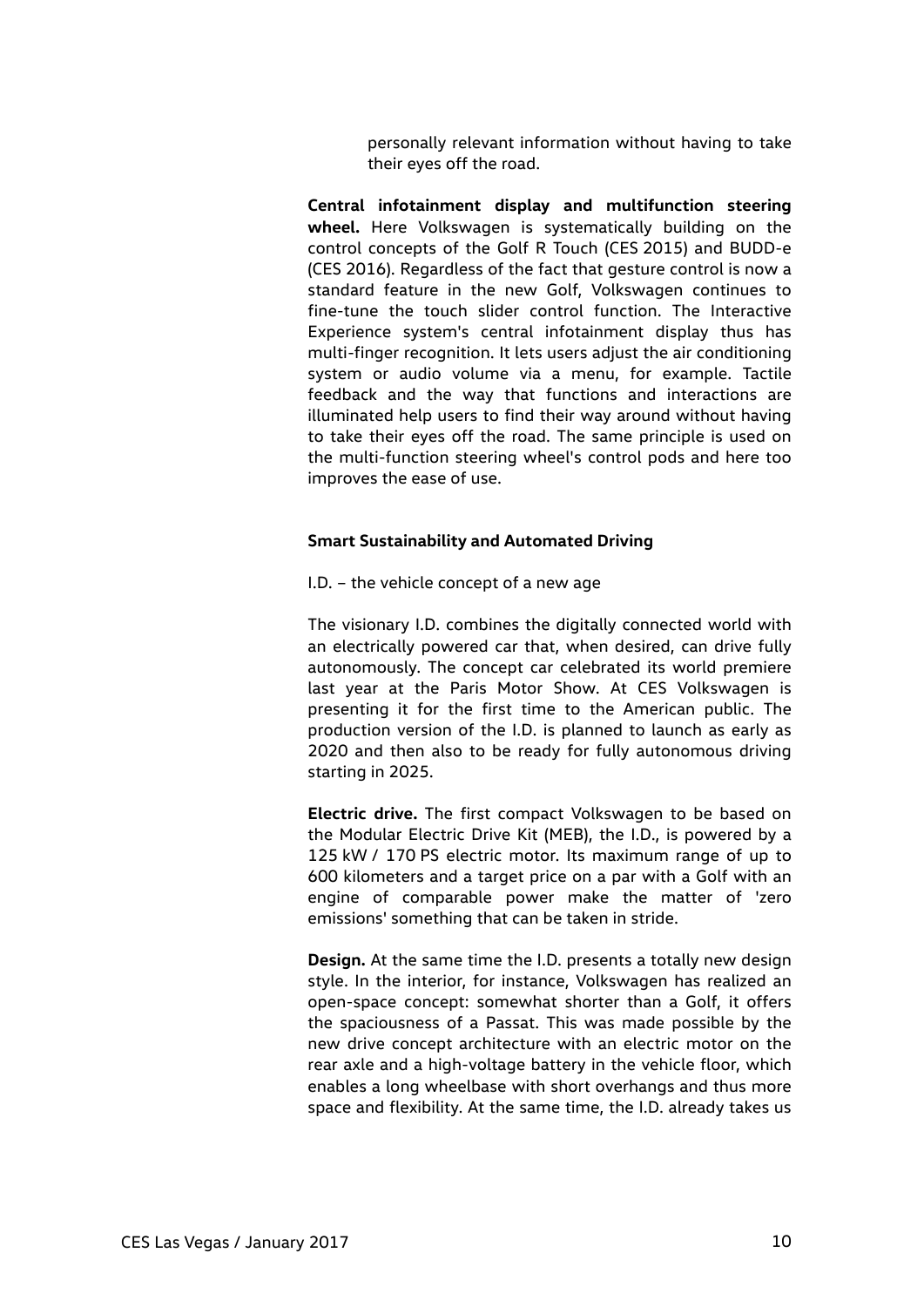personally relevant information without having to take their eyes off the road.

**Central infotainment display and multifunction steering wheel.** Here Volkswagen is systematically building on the control concepts of the Golf R Touch (CES 2015) and BUDD-e (CES 2016). Regardless of the fact that gesture control is now a standard feature in the new Golf, Volkswagen continues to fine-tune the touch slider control function. The Interactive Experience system's central infotainment display thus has multi-finger recognition. It lets users adjust the air conditioning system or audio volume via a menu, for example. Tactile feedback and the way that functions and interactions are illuminated help users to find their way around without having to take their eyes off the road. The same principle is used on the multi-function steering wheel's control pods and here too improves the ease of use.

#### **Smart Sustainability and Automated Driving**

I.D. – the vehicle concept of a new age

The visionary I.D. combines the digitally connected world with an electrically powered car that, when desired, can drive fully autonomously. The concept car celebrated its world premiere last year at the Paris Motor Show. At CES Volkswagen is presenting it for the first time to the American public. The production version of the I.D. is planned to launch as early as 2020 and then also to be ready for fully autonomous driving starting in 2025.

**Electric drive.** The first compact Volkswagen to be based on the Modular Electric Drive Kit (MEB), the I.D., is powered by a 125 kW / 170 PS electric motor. Its maximum range of up to 600 kilometers and a target price on a par with a Golf with an engine of comparable power make the matter of 'zero emissions' something that can be taken in stride.

**Design.** At the same time the I.D. presents a totally new design style. In the interior, for instance, Volkswagen has realized an open-space concept: somewhat shorter than a Golf, it offers the spaciousness of a Passat. This was made possible by the new drive concept architecture with an electric motor on the rear axle and a high-voltage battery in the vehicle floor, which enables a long wheelbase with short overhangs and thus more space and flexibility. At the same time, the I.D. already takes us